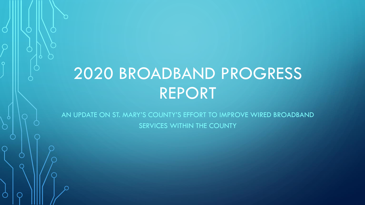# 2020 BROADBAND PROGRESS REPORT

AN UPDATE ON ST. MARY'S COUNTY'S EFFORT TO IMPROVE WIRED BROADBAND SERVICES WITHIN THE COUNTY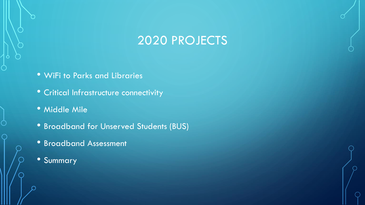# 2020 PROJECTS

- WiFi to Parks and Libraries
- Critical Infrastructure connectivity
- Middle Mile
- Broadband for Unserved Students (BUS)
- Broadband Assessment
- Summary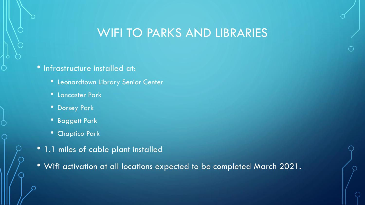### WIFI TO PARKS AND LIBRARIES

#### • Infrastructure installed at:

- Leonardtown Library Senior Center
- Lancaster Park
- Dorsey Park
- Baggett Park
- Chaptico Park
- 1.1 miles of cable plant installed
- Wifi activation at all locations expected to be completed March 2021.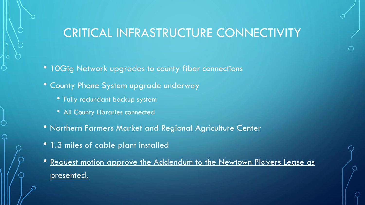# CRITICAL INFRASTRUCTURE CONNECTIVITY

- 10Gig Network upgrades to county fiber connections
- County Phone System upgrade underway
	- Fully redundant backup system
	- All County Libraries connected
- Northern Farmers Market and Regional Agriculture Center
- 1.3 miles of cable plant installed
- Request motion approve the Addendum to the Newtown Players Lease as presented.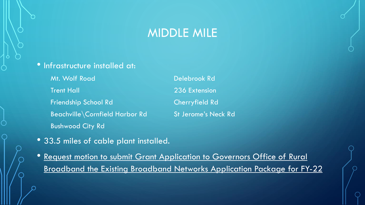#### MIDDLE MILE

#### • Infrastructure installed at:

Mt. Wolf Road Delebrook Rd **Trent Hall 236 Extension** Friendship School Rd Cherryfield Rd Beachville\Cornfield Harbor Rd St Jerome's Neck Rd Bushwood City Rd

- 33.5 miles of cable plant installed.
- Request motion to submit Grant Application to Governors Office of Rural Broadband the Existing Broadband Networks Application Package for FY-22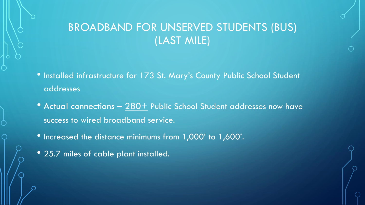### BROADBAND FOR UNSERVED STUDENTS (BUS) (LAST MILE)

- Installed infrastructure for 173 St. Mary's County Public School Student addresses
- Actual connections  $-$  280+ Public School Student addresses now have success to wired broadband service.
- Increased the distance minimums from 1,000' to 1,600'.
- 25.7 miles of cable plant installed.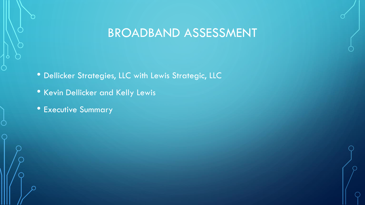# BROADBAND ASSESSMENT

- Dellicker Strategies, LLC with Lewis Strategic, LLC
- Kevin Dellicker and Kelly Lewis
- Executive Summary